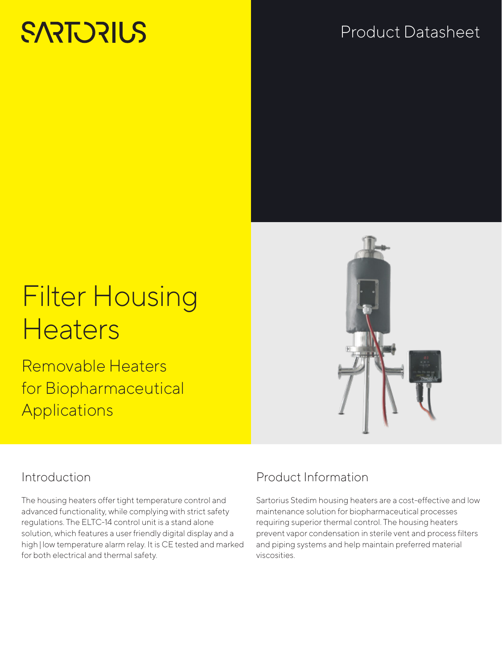# **SARTORIUS**

## Product Datasheet



Removable Heaters for Biopharmaceutical **Applications** 



### Introduction

The housing heaters offer tight temperature control and advanced functionality, while complying with strict safety regulations. The ELTC-14 control unit is a stand alone solution, which features a user friendly digital display and a high | low temperature alarm relay. It is CE tested and marked for both electrical and thermal safety.

### Product Information

Sartorius Stedim housing heaters are a cost-effective and low maintenance solution for biopharmaceutical processes requiring superior thermal control. The housing heaters prevent vapor condensation in sterile vent and process filters and piping systems and help maintain preferred material viscosities.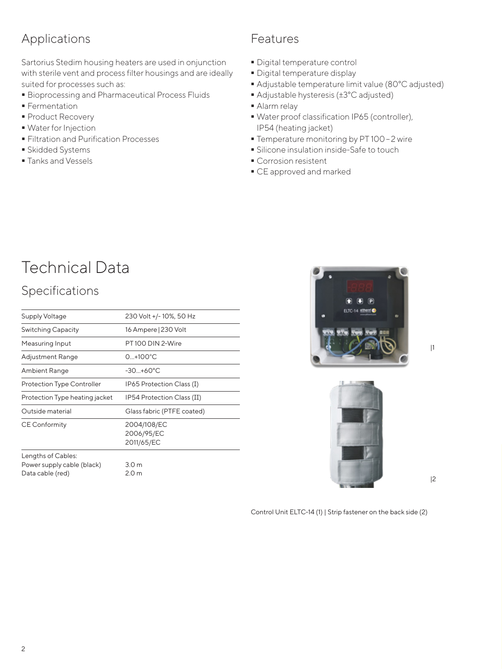### Applications

Sartorius Stedim housing heaters are used in onjunction with sterile vent and process filter housings and are ideally suited for processes such as:

- Bioprocessing and Pharmaceutical Process Fluids
- **Fermentation**
- **Product Recovery**
- Water for Injection
- **Filtration and Purification Processes**
- **Skidded Systems**
- **Tanks and Vessels**

#### Features

- Digital temperature control
- Digital temperature display
- Adjustable temperature limit value (80°C adjusted)
- Adjustable hysteresis (±3°C adjusted)
- Alarm relay
- Water proof classification IP65 (controller), IP54 (heating jacket)
- Temperature monitoring by PT 100-2 wire
- Silicone insulation inside-Safe to touch
- **Corrosion resistent**
- CE approved and marked

# Technical Data

### Specifications

| Supply Voltage                    | 230 Volt +/-10%, 50 Hz                  |
|-----------------------------------|-----------------------------------------|
| <b>Switching Capacity</b>         | 16 Ampere   230 Volt                    |
| Measuring Input                   | PT100 DIN 2-Wire                        |
| <b>Adjustment Range</b>           | $0+100^{\circ}C$                        |
| Ambient Range                     | $-30+60^{\circ}C$                       |
| <b>Protection Type Controller</b> | IP65 Protection Class (I)               |
| Protection Type heating jacket    | IP54 Protection Class (II)              |
| Outside material                  | Glass fabric (PTFE coated)              |
| <b>CE Conformity</b>              | 2004/108/EC<br>2006/95/EC<br>2011/65/EC |
| Lengths of Cables:                |                                         |
| Power supply cable (black)        | 3.0 <sub>m</sub>                        |
| Data cable (red)                  | 2.0 <sub>m</sub>                        |



|1



|2

Control Unit ELTC-14 (1) | Strip fastener on the back side (2)